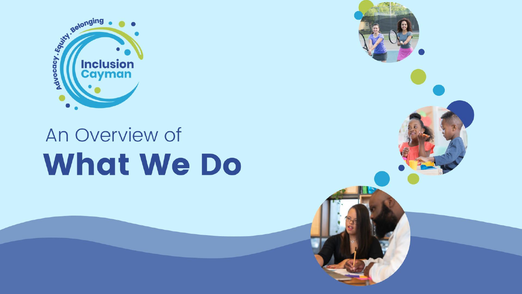

# An Overview of **What We Do**

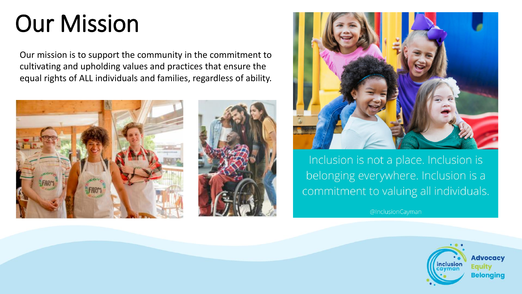## Our Mission

Our mission is to support the community in the commitment to cultivating and upholding values and practices that ensure the equal rights of ALL individuals and families, regardless of ability.







Inclusion is not a place. Inclusion is belonging everywhere. Inclusion is a commitment to valuing all individuals.

@InclusionCayman

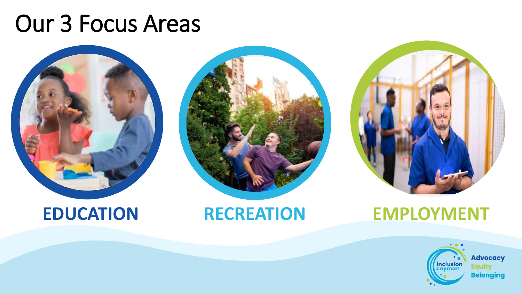### Our 3 Focus Areas





### **EDUCATION RECREATION EMPLOYMENT**

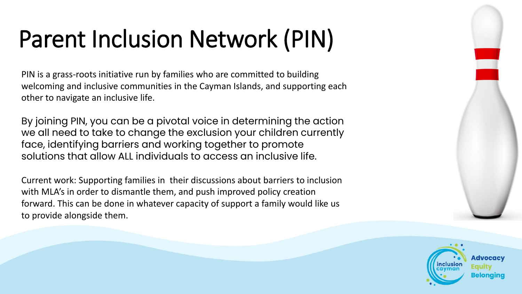# Parent Inclusion Network (PIN)

PIN is a grass-roots initiative run by families who are committed to building welcoming and inclusive communities in the Cayman Islands, and supporting each other to navigate an inclusive life.

By joining PIN, you can be a pivotal voice in determining the action we all need to take to change the exclusion your children currently face, identifying barriers and working together to promote solutions that allow ALL individuals to access an inclusive life.

Current work: Supporting families in their discussions about barriers to inclusion with MLA's in order to dismantle them, and push improved policy creation forward. This can be done in whatever capacity of support a family would like us to provide alongside them.

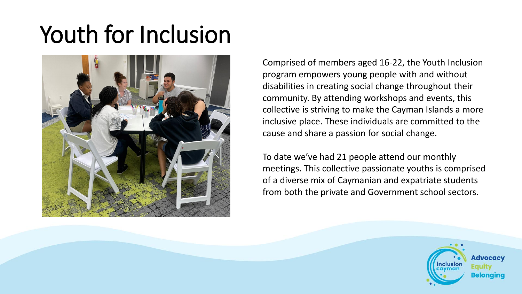# Youth for Inclusion



Comprised of members aged 16-22, the Youth Inclusion program empowers young people with and without disabilities in creating social change throughout their community. By attending workshops and events, this collective is striving to make the Cayman Islands a more inclusive place. These individuals are committed to the cause and share a passion for social change.

To date we've had 21 people attend our monthly meetings. This collective passionate youths is comprised of a diverse mix of Caymanian and expatriate students from both the private and Government school sectors.